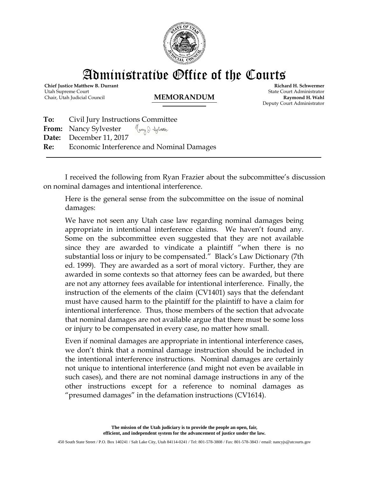

Administrative Office of the Courts

**Chief Justice Matthew B. Durrant** Utah Supreme Court Chair, Utah Judicial Council **MEMORANDUM**

**Richard H. Schwermer** State Court Administrator **Raymond H. Wahl** Deputy Court Administrator

| <b>To:</b> Civil Jury Instructions Committee                  |
|---------------------------------------------------------------|
| From: Nancy Sylvester $\mathcal{M}_{\mathcal{A}}$ & Sylvester |
| Date: December 11, 2017                                       |
| <b>Re:</b> Economic Interference and Nominal Damages          |
|                                                               |

I received the following from Ryan Frazier about the subcommittee's discussion on nominal damages and intentional interference.

Here is the general sense from the subcommittee on the issue of nominal damages:

We have not seen any Utah case law regarding nominal damages being appropriate in intentional interference claims. We haven't found any. Some on the subcommittee even suggested that they are not available since they are awarded to vindicate a plaintiff "when there is no substantial loss or injury to be compensated." Black's Law Dictionary (7th ed. 1999). They are awarded as a sort of moral victory. Further, they are awarded in some contexts so that attorney fees can be awarded, but there are not any attorney fees available for intentional interference. Finally, the instruction of the elements of the claim (CV1401) says that the defendant must have caused harm to the plaintiff for the plaintiff to have a claim for intentional interference. Thus, those members of the section that advocate that nominal damages are not available argue that there must be some loss or injury to be compensated in every case, no matter how small.

Even if nominal damages are appropriate in intentional interference cases, we don't think that a nominal damage instruction should be included in the intentional interference instructions. Nominal damages are certainly not unique to intentional interference (and might not even be available in such cases), and there are not nominal damage instructions in any of the other instructions except for a reference to nominal damages as "presumed damages" in the defamation instructions (CV1614).

> **The mission of the Utah judiciary is to provide the people an open, fair, efficient, and independent system for the advancement of justice under the law.**